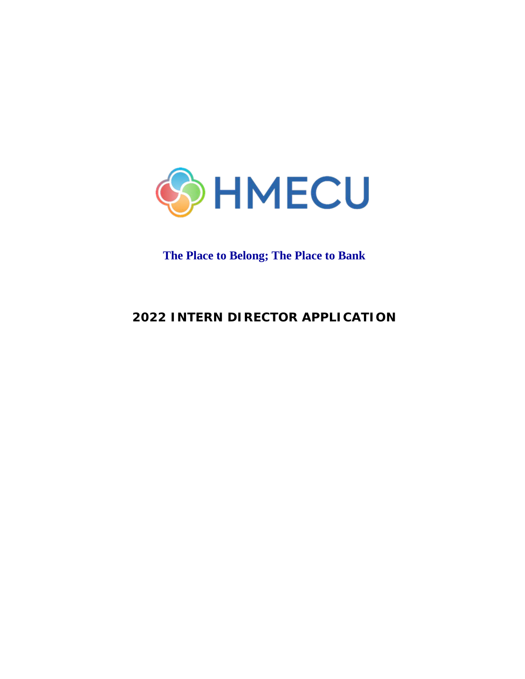

# **The Place to Belong; The Place to Bank**

# **2022 INTERN DIRECTOR APPLICATION**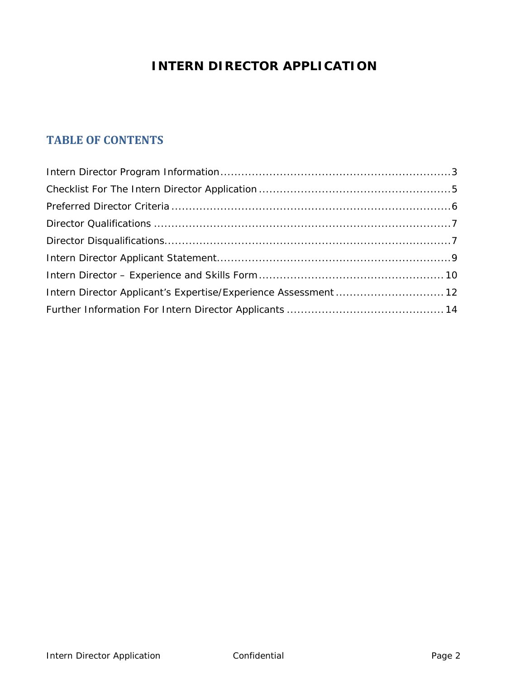# **INTERN DIRECTOR APPLICATION**

# **TABLE OF CONTENTS**

| Intern Director Applicant's Expertise/Experience Assessment  12 |  |
|-----------------------------------------------------------------|--|
|                                                                 |  |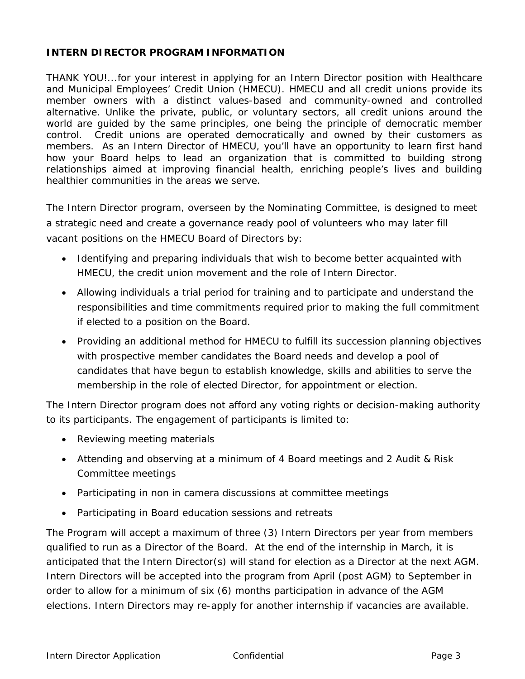# <span id="page-2-0"></span>**INTERN DIRECTOR PROGRAM INFORMATION**

THANK YOU!...for your interest in applying for an Intern Director position with Healthcare and Municipal Employees' Credit Union (HMECU). HMECU and all credit unions provide its member owners with a distinct values-based and community-owned and controlled alternative. Unlike the private, public, or voluntary sectors, all credit unions around the world are guided by the same principles, one being the principle of democratic member control. Credit unions are operated democratically and owned by their customers as members. As an Intern Director of HMECU, you'll have an opportunity to learn first hand how your Board helps to lead an organization that is committed to building strong relationships aimed at improving financial health, enriching people's lives and building healthier communities in the areas we serve.

The Intern Director program, overseen by the Nominating Committee, is designed to meet a strategic need and create a governance ready pool of volunteers who may later fill vacant positions on the HMECU Board of Directors by:

- Identifying and preparing individuals that wish to become better acquainted with HMECU, the credit union movement and the role of Intern Director.
- Allowing individuals a trial period for training and to participate and understand the responsibilities and time commitments required prior to making the full commitment if elected to a position on the Board.
- Providing an additional method for HMECU to fulfill its succession planning objectives with prospective member candidates the Board needs and develop a pool of candidates that have begun to establish knowledge, skills and abilities to serve the membership in the role of elected Director, for appointment or election.

The Intern Director program does not afford any voting rights or decision-making authority to its participants. The engagement of participants is limited to:

- Reviewing meeting materials
- Attending and observing at a minimum of 4 Board meetings and 2 Audit & Risk Committee meetings
- Participating in non in camera discussions at committee meetings
- Participating in Board education sessions and retreats

The Program will accept a maximum of three (3) Intern Directors per year from members qualified to run as a Director of the Board. At the end of the internship in March, it is anticipated that the Intern Director(s) will stand for election as a Director at the next AGM. Intern Directors will be accepted into the program from April (post AGM) to September in order to allow for a minimum of six (6) months participation in advance of the AGM elections. Intern Directors may re-apply for another internship if vacancies are available.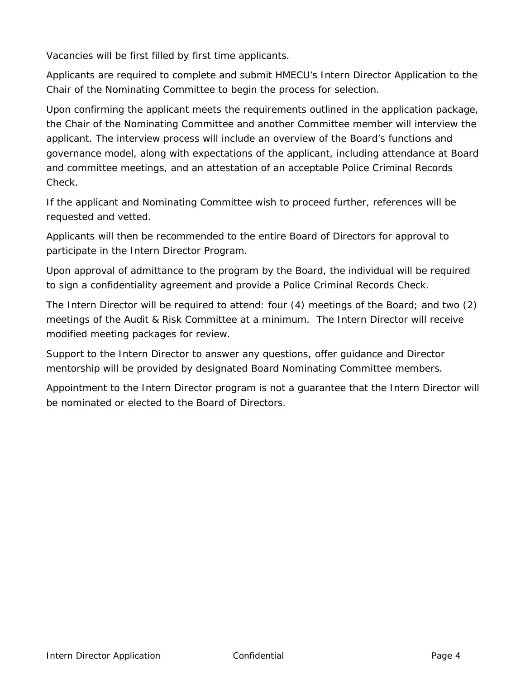Vacancies will be first filled by first time applicants.

Applicants are required to complete and submit HMECU's Intern Director Application to the Chair of the Nominating Committee to begin the process for selection.

Upon confirming the applicant meets the requirements outlined in the application package, the Chair of the Nominating Committee and another Committee member will interview the applicant. The interview process will include an overview of the Board's functions and governance model, along with expectations of the applicant, including attendance at Board and committee meetings, and an attestation of an acceptable Police Criminal Records Check.

If the applicant and Nominating Committee wish to proceed further, references will be requested and vetted.

Applicants will then be recommended to the entire Board of Directors for approval to participate in the Intern Director Program.

Upon approval of admittance to the program by the Board, the individual will be required to sign a confidentiality agreement and provide a Police Criminal Records Check.

The Intern Director will be required to attend: four (4) meetings of the Board; and two (2) meetings of the Audit & Risk Committee at a minimum. The Intern Director will receive modified meeting packages for review.

Support to the Intern Director to answer any questions, offer guidance and Director mentorship will be provided by designated Board Nominating Committee members.

Appointment to the Intern Director program is not a guarantee that the Intern Director will be nominated or elected to the Board of Directors.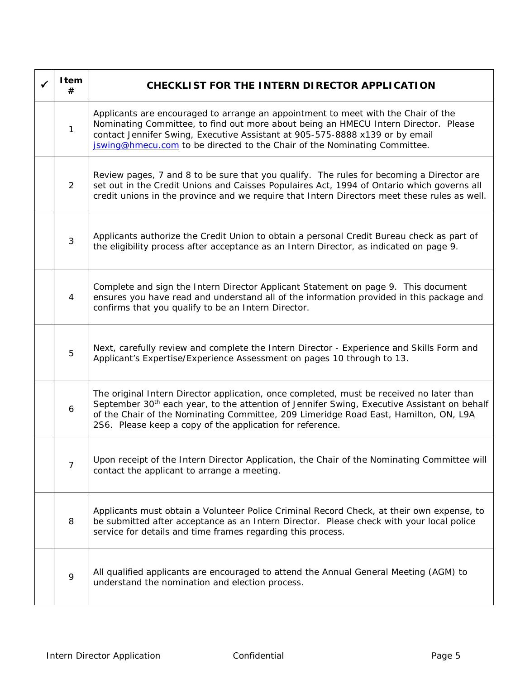<span id="page-4-0"></span>

| Item<br>#      | CHECKLIST FOR THE INTERN DIRECTOR APPLICATION                                                                                                                                                                                                                                                                                                            |  |  |
|----------------|----------------------------------------------------------------------------------------------------------------------------------------------------------------------------------------------------------------------------------------------------------------------------------------------------------------------------------------------------------|--|--|
| 1              | Applicants are encouraged to arrange an appointment to meet with the Chair of the<br>Nominating Committee, to find out more about being an HMECU Intern Director. Please<br>contact Jennifer Swing, Executive Assistant at 905-575-8888 x139 or by email<br>jswing@hmecu.com to be directed to the Chair of the Nominating Committee.                    |  |  |
| $\overline{2}$ | Review pages, 7 and 8 to be sure that you qualify. The rules for becoming a Director are<br>set out in the Credit Unions and Caisses Populaires Act, 1994 of Ontario which governs all<br>credit unions in the province and we require that Intern Directors meet these rules as well.                                                                   |  |  |
| 3              | Applicants authorize the Credit Union to obtain a personal Credit Bureau check as part of<br>the eligibility process after acceptance as an Intern Director, as indicated on page 9.                                                                                                                                                                     |  |  |
| 4              | Complete and sign the Intern Director Applicant Statement on page 9. This document<br>ensures you have read and understand all of the information provided in this package and<br>confirms that you qualify to be an Intern Director.                                                                                                                    |  |  |
| 5              | Next, carefully review and complete the Intern Director - Experience and Skills Form and<br>Applicant's Expertise/Experience Assessment on pages 10 through to 13.                                                                                                                                                                                       |  |  |
| 6              | The original Intern Director application, once completed, must be received no later than<br>September 30 <sup>th</sup> each year, to the attention of Jennifer Swing, Executive Assistant on behalf<br>of the Chair of the Nominating Committee, 209 Limeridge Road East, Hamilton, ON, L9A<br>2S6. Please keep a copy of the application for reference. |  |  |
| $\overline{7}$ | Upon receipt of the Intern Director Application, the Chair of the Nominating Committee will<br>contact the applicant to arrange a meeting.                                                                                                                                                                                                               |  |  |
| 8              | Applicants must obtain a Volunteer Police Criminal Record Check, at their own expense, to<br>be submitted after acceptance as an Intern Director. Please check with your local police<br>service for details and time frames regarding this process.                                                                                                     |  |  |
| 9              | All qualified applicants are encouraged to attend the Annual General Meeting (AGM) to<br>understand the nomination and election process.                                                                                                                                                                                                                 |  |  |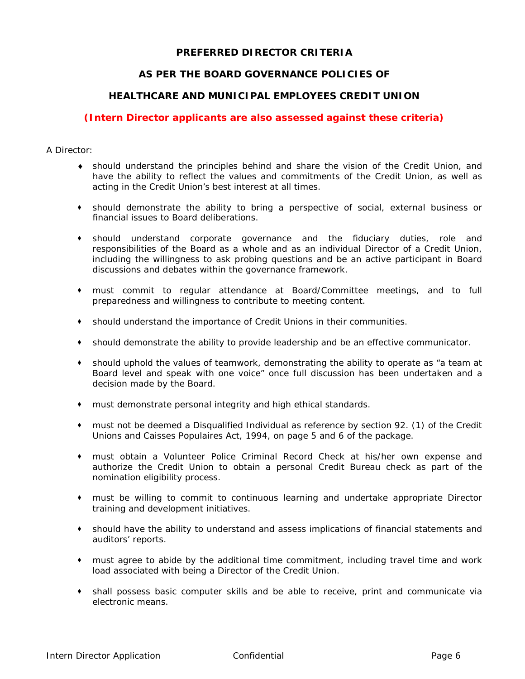## **PREFERRED DIRECTOR CRITERIA**

## **AS PER THE BOARD GOVERNANCE POLICIES OF**

### <span id="page-5-0"></span>**HEALTHCARE AND MUNICIPAL EMPLOYEES CREDIT UNION**

## **(Intern Director applicants are also assessed against these criteria)**

A Director:

- ♦ should understand the principles behind and share the vision of the Credit Union, and have the ability to reflect the values and commitments of the Credit Union, as well as acting in the Credit Union's best interest at all times.
- should demonstrate the ability to bring a perspective of social, external business or financial issues to Board deliberations.
- should understand corporate governance and the fiduciary duties, role and responsibilities of the Board as a whole and as an individual Director of a Credit Union, including the willingness to ask probing questions and be an active participant in Board discussions and debates within the governance framework.
- must commit to regular attendance at Board/Committee meetings, and to full preparedness and willingness to contribute to meeting content.
- should understand the importance of Credit Unions in their communities.
- should demonstrate the ability to provide leadership and be an effective communicator.
- should uphold the values of teamwork, demonstrating the ability to operate as "a team at Board level and speak with one voice" once full discussion has been undertaken and a decision made by the Board.
- must demonstrate personal integrity and high ethical standards.
- must not be deemed a Disqualified Individual as reference by section 92. (1) of the Credit Unions and Caisses Populaires Act, 1994, on page 5 and 6 of the package.
- must obtain a Volunteer Police Criminal Record Check at his/her own expense and authorize the Credit Union to obtain a personal Credit Bureau check as part of the nomination eligibility process.
- must be willing to commit to continuous learning and undertake appropriate Director training and development initiatives.
- should have the ability to understand and assess implications of financial statements and auditors' reports.
- must agree to abide by the additional time commitment, including travel time and work load associated with being a Director of the Credit Union.
- shall possess basic computer skills and be able to receive, print and communicate via electronic means.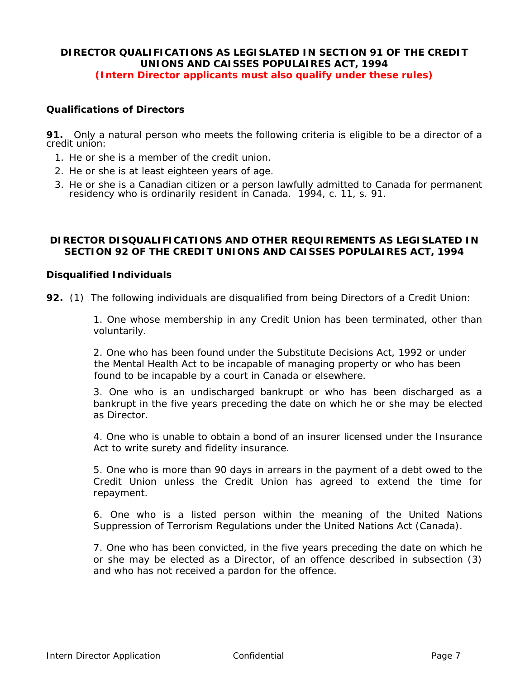## <span id="page-6-0"></span>**DIRECTOR QUALIFICATIONS AS LEGISLATED IN SECTION 91 OF THE CREDIT UNIONS AND CAISSES POPULAIRES ACT, 1994 (Intern Director applicants must also qualify under these rules)**

## *Qualifications of Directors*

**91.**Only a natural person who meets the following criteria is eligible to be a director of a [cred](http://www.ontario.ca/fr/lois/loi/94c11#s91)it union:

- 1. He or she is a member of the credit union.
- 2. He or she is at least eighteen years of age.
- 3. He or she is a Canadian citizen or a person lawfully admitted to Canada for permanent residency who is ordinarily resident in Canada. 1994, c. 11, s. 91.

## <span id="page-6-1"></span>**DIRECTOR DISQUALIFICATIONS AND OTHER REQUIREMENTS AS LEGISLATED IN SECTION 92 OF THE CREDIT UNIONS AND CAISSES POPULAIRES ACT, 1994**

#### *Disqualified Individuals*

**[92.](http://www.e-laws.gov.on.ca/html/statutes/french/elaws_statutes_94c11_f.htm#s92s1)** [\(1\)](http://www.e-laws.gov.on.ca/html/statutes/french/elaws_statutes_94c11_f.htm#s92s1) The following individuals are disqualified from being Directors of a Credit Union:

1. One whose membership in any Credit Union has been terminated, other than voluntarily.

2. One who has been found under the *Substitute Decisions Act, 1992* or under the *Mental Health Act* to be incapable of managing property or who has been found to be incapable by a court in Canada or elsewhere.

3. One who is an undischarged bankrupt or who has been discharged as a bankrupt in the five years preceding the date on which he or she may be elected as Director.

4. One who is unable to obtain a bond of an insurer licensed under the *Insurance Act* to write surety and fidelity insurance.

5. One who is more than 90 days in arrears in the payment of a debt owed to the Credit Union unless the Credit Union has agreed to extend the time for repayment.

6. One who is a listed person within the meaning of the United Nations Suppression of Terrorism Regulations under the *United Nations Act* (Canada).

7. One who has been convicted, in the five years preceding the date on which he or she may be elected as a Director, of an offence described in subsection (3) and who has not received a pardon for the offence.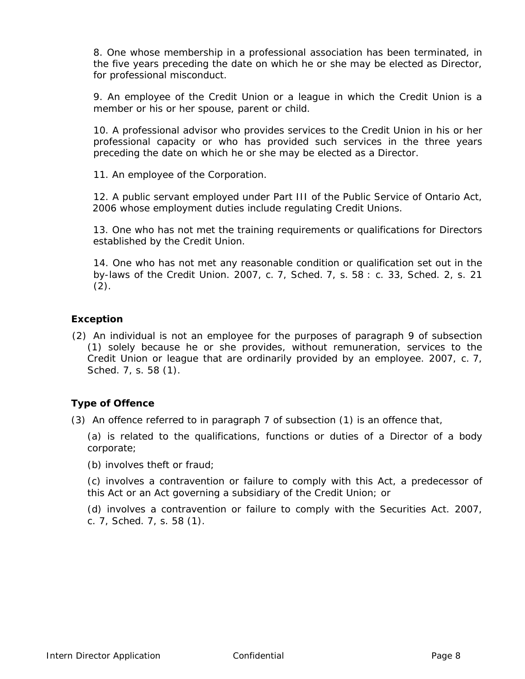8. One whose membership in a professional association has been terminated, in the five years preceding the date on which he or she may be elected as Director, for professional misconduct.

9. An employee of the Credit Union or a league in which the Credit Union is a member or his or her spouse, parent or child.

10. A professional advisor who provides services to the Credit Union in his or her professional capacity or who has provided such services in the three years preceding the date on which he or she may be elected as a Director.

11. An employee of the Corporation.

12. A public servant employed under Part III of the *Public Service of Ontario Act, 2006* whose employment duties include regulating Credit Unions.

13. One who has not met the training requirements or qualifications for Directors established by the Credit Union.

14. One who has not met any reasonable condition or qualification set out in the by-laws of the Credit Union. 2007, c. 7, Sched. 7, s. 58 : c. 33, Sched. 2, s. 21  $(2).$ 

## *Exception*

[\(2\)](http://www.e-laws.gov.on.ca/html/statutes/french/elaws_statutes_94c11_f.htm#s92s2) An individual is not an employee for the purposes of paragraph 9 of subsection (1) solely because he or she provides, without remuneration, services to the Credit Union or league that are ordinarily provided by an employee. 2007, c. 7, Sched. 7, s. 58 (1).

# *Type of Offence*

[\(3\)](http://www.e-laws.gov.on.ca/html/statutes/french/elaws_statutes_94c11_f.htm#s92s3) An offence referred to in paragraph 7 of subsection (1) is an offence that,

(a) is related to the qualifications, functions or duties of a Director of a body corporate;

(b) involves theft or fraud;

(c) involves a contravention or failure to comply with this Act, a predecessor of this Act or an Act governing a subsidiary of the Credit Union; or

(d) involves a contravention or failure to comply with the *Securities Act*. 2007, c. 7, Sched. 7, s. 58 (1).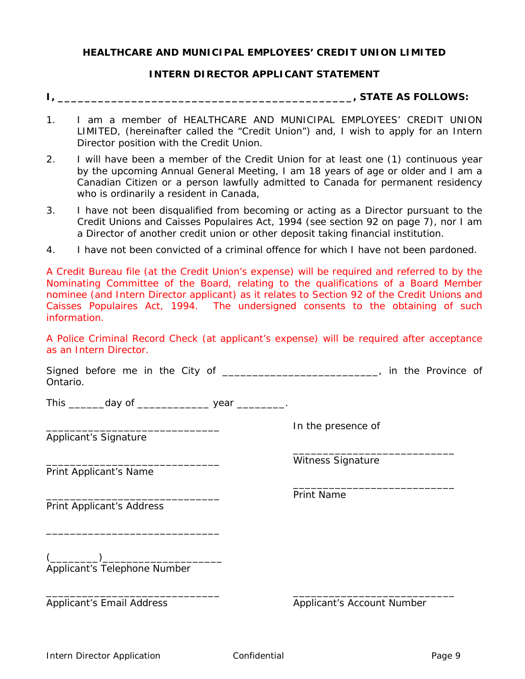#### **HEALTHCARE AND MUNICIPAL EMPLOYEES' CREDIT UNION LIMITED**

#### **INTERN DIRECTOR APPLICANT STATEMENT**

#### <span id="page-8-0"></span>**I, \_\_\_\_\_\_\_\_\_\_\_\_\_\_\_\_\_\_\_\_\_\_\_\_\_\_\_\_\_\_\_\_\_\_\_\_\_\_\_\_\_\_\_\_, STATE AS FOLLOWS:**

- 1. I am a member of HEALTHCARE AND MUNICIPAL EMPLOYEES' CREDIT UNION LIMITED, (hereinafter called the "Credit Union") and, I wish to apply for an Intern Director position with the Credit Union.
- 2. I will have been a member of the Credit Union for at least one (1) continuous year by the upcoming Annual General Meeting, I am 18 years of age or older and I am a Canadian Citizen or a person lawfully admitted to Canada for permanent residency who is ordinarily a resident in Canada,
- 3. I have not been disqualified from becoming or acting as a Director pursuant to the Credit Unions and Caisses Populaires Act, 1994 (see section 92 on page 7), nor I am a Director of another credit union or other deposit taking financial institution.
- 4. I have not been convicted of a criminal offence for which I have not been pardoned.

A Credit Bureau file (at the Credit Union's expense) will be required and referred to by the Nominating Committee of the Board, relating to the qualifications of a Board Member nominee (and Intern Director applicant) as it relates to Section 92 of the Credit Unions and Caisses Populaires Act, 1994. The undersigned consents to the obtaining of such information.

A Police Criminal Record Check (at applicant's expense) will be required after acceptance as an Intern Director.

| Signed before me in the City of _____________________________, in the Province of<br>Ontario. |                            |
|-----------------------------------------------------------------------------------------------|----------------------------|
| This _________ day of ___________________ year ___________.                                   |                            |
|                                                                                               | In the presence of         |
| <b>Applicant's Signature</b>                                                                  |                            |
|                                                                                               | <b>Witness Signature</b>   |
| Print Applicant's Name                                                                        |                            |
| <b>Print Applicant's Address</b>                                                              | <b>Print Name</b>          |
| $\overline{\phantom{a}}$<br>Applicant's Telephone Number                                      |                            |
| <b>Applicant's Email Address</b>                                                              | Applicant's Account Number |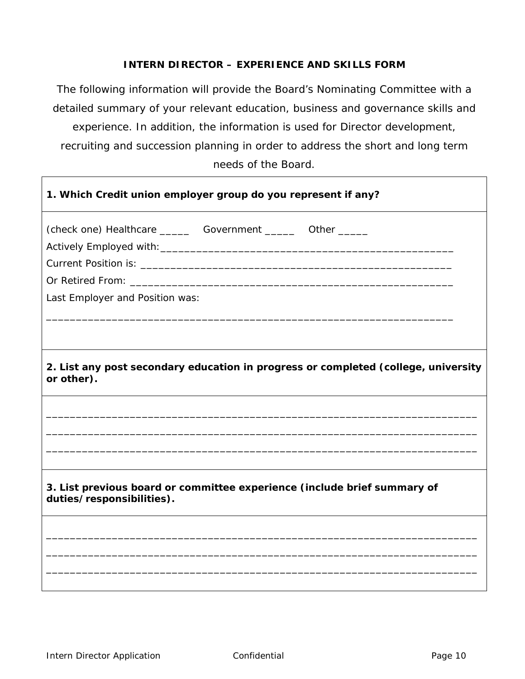# **INTERN DIRECTOR – EXPERIENCE AND SKILLS FORM**

<span id="page-9-0"></span>The following information will provide the Board's Nominating Committee with a detailed summary of your relevant education, business and governance skills and experience. In addition, the information is used for Director development, recruiting and succession planning in order to address the short and long term needs of the Board.

| 1. Which Credit union employer group do you represent if any?                                         |  |  |  |  |
|-------------------------------------------------------------------------------------------------------|--|--|--|--|
| (check one) Healthcare _________ Government ________ Other ______                                     |  |  |  |  |
|                                                                                                       |  |  |  |  |
|                                                                                                       |  |  |  |  |
|                                                                                                       |  |  |  |  |
| Last Employer and Position was:                                                                       |  |  |  |  |
|                                                                                                       |  |  |  |  |
| 2. List any post secondary education in progress or completed (college, university<br>or other).      |  |  |  |  |
|                                                                                                       |  |  |  |  |
|                                                                                                       |  |  |  |  |
|                                                                                                       |  |  |  |  |
| 3. List previous board or committee experience (include brief summary of<br>duties/responsibilities). |  |  |  |  |
|                                                                                                       |  |  |  |  |
|                                                                                                       |  |  |  |  |
|                                                                                                       |  |  |  |  |
|                                                                                                       |  |  |  |  |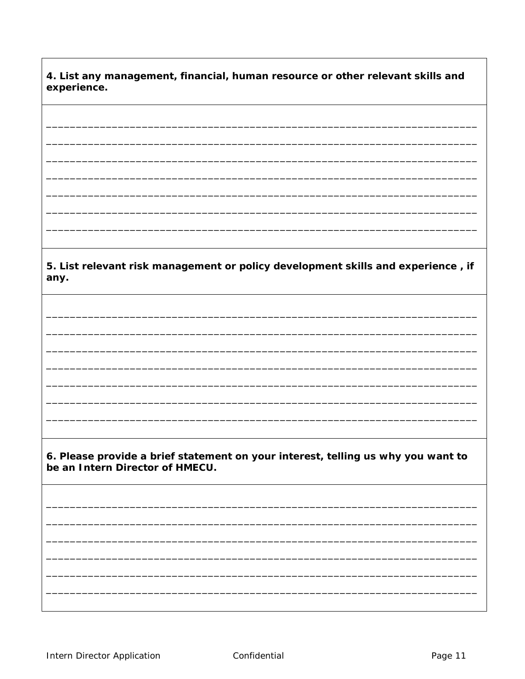4. List any management, financial, human resource or other relevant skills and experience.

5. List relevant risk management or policy development skills and experience, if any.

6. Please provide a brief statement on your interest, telling us why you want to be an Intern Director of HMECU.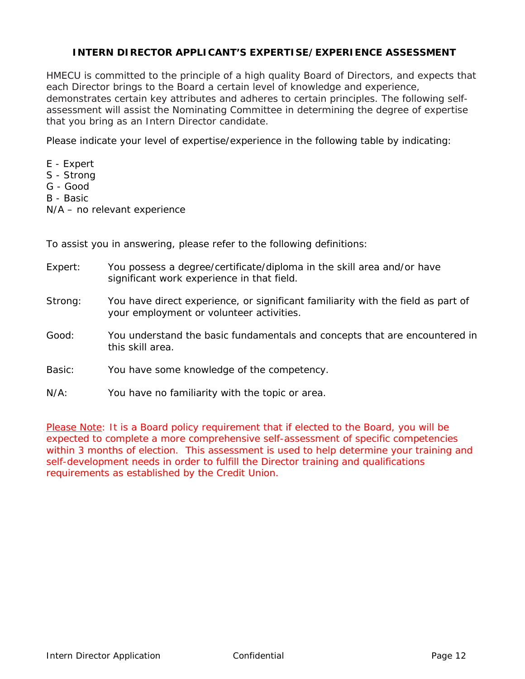## **INTERN DIRECTOR APPLICANT'S EXPERTISE/EXPERIENCE ASSESSMENT**

<span id="page-11-0"></span>HMECU is committed to the principle of a high quality Board of Directors, and expects that each Director brings to the Board a certain level of knowledge and experience, demonstrates certain key attributes and adheres to certain principles. The following selfassessment will assist the *Nominating Committee* in determining the degree of expertise that you bring as an Intern Director candidate.

Please indicate your level of expertise/experience in the following table by indicating:

- E Expert
- S Strong
- G Good
- B Basic
- N/A no relevant experience

To assist you in answering, please refer to the following definitions:

- Expert: You possess a degree/certificate/diploma in the skill area and/or have significant work experience in that field.
- Strong: You have direct experience, or significant familiarity with the field as part of your employment or volunteer activities.
- Good: You understand the basic fundamentals and concepts that are encountered in this skill area.
- Basic: You have some knowledge of the competency.
- N/A: You have no familiarity with the topic or area.

*Please Note: It is a Board policy requirement that if elected to the Board, you will be expected to complete a more comprehensive self-assessment of specific competencies within 3 months of election. This assessment is used to help determine your training and self-development needs in order to fulfill the Director training and qualifications requirements as established by the Credit Union*.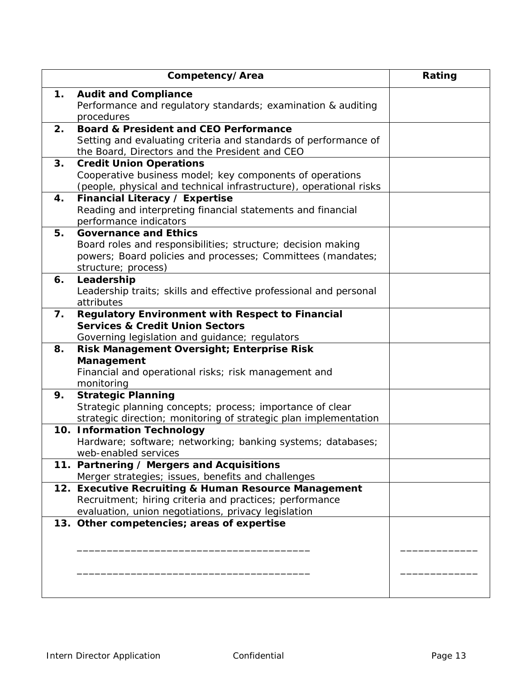|    | Competency/Area                                                                                                                                                                    | Rating |
|----|------------------------------------------------------------------------------------------------------------------------------------------------------------------------------------|--------|
| 1. | <b>Audit and Compliance</b><br>Performance and regulatory standards; examination & auditing<br>procedures                                                                          |        |
| 2. | <b>Board &amp; President and CEO Performance</b><br>Setting and evaluating criteria and standards of performance of<br>the Board, Directors and the President and CEO              |        |
| 3. | <b>Credit Union Operations</b><br>Cooperative business model; key components of operations<br>(people, physical and technical infrastructure), operational risks                   |        |
| 4. | Financial Literacy / Expertise<br>Reading and interpreting financial statements and financial<br>performance indicators                                                            |        |
| 5. | <b>Governance and Ethics</b><br>Board roles and responsibilities; structure; decision making<br>powers; Board policies and processes; Committees (mandates;<br>structure; process) |        |
| 6. | Leadership<br>Leadership traits; skills and effective professional and personal<br>attributes                                                                                      |        |
| 7. | <b>Regulatory Environment with Respect to Financial</b><br><b>Services &amp; Credit Union Sectors</b><br>Governing legislation and guidance; regulators                            |        |
| 8. | <b>Risk Management Oversight; Enterprise Risk</b><br>Management<br>Financial and operational risks; risk management and<br>monitoring                                              |        |
| 9. | <b>Strategic Planning</b><br>Strategic planning concepts; process; importance of clear<br>strategic direction; monitoring of strategic plan implementation                         |        |
|    | 10. Information Technology<br>Hardware; software; networking; banking systems; databases;<br>web-enabled services                                                                  |        |
|    | 11. Partnering / Mergers and Acquisitions<br>Merger strategies; issues, benefits and challenges                                                                                    |        |
|    | 12. Executive Recruiting & Human Resource Management<br>Recruitment; hiring criteria and practices; performance<br>evaluation, union negotiations, privacy legislation             |        |
|    | 13. Other competencies; areas of expertise                                                                                                                                         |        |